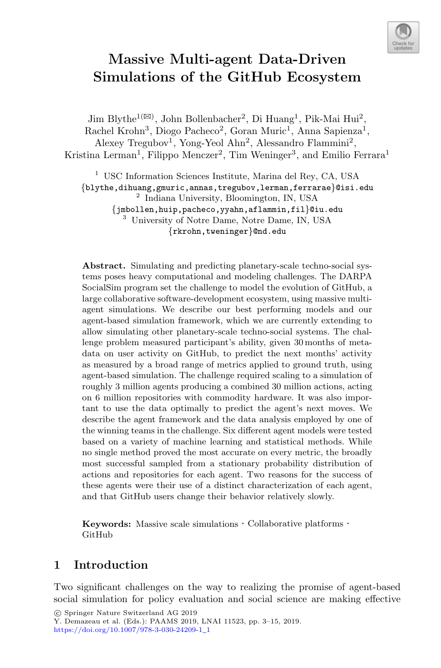

# Massive Multi-agent Data-Driven Simulations of the GitHub Ecosystem

Jim Blythe<sup>1( $\boxtimes$ )</sup>, John Bollenbacher<sup>2</sup>, Di Huang<sup>1</sup>, Pik-Mai Hui<sup>2</sup>, Rachel Krohn<sup>3</sup>, Diogo Pacheco<sup>2</sup>, Goran Muric<sup>1</sup>, Anna Sapienza<sup>1</sup>, Alexey Tregubov<sup>1</sup>, Yong-Yeol Ahn<sup>2</sup>, Alessandro Flammini<sup>2</sup>, Kristina Lerman<sup>1</sup>, Filippo Menczer<sup>2</sup>, Tim Weninger<sup>3</sup>, and Emilio Ferrara<sup>1</sup>

<sup>1</sup> USC Information Sciences Institute, Marina del Rey, CA, USA *{*blythe,dihuang,gmuric,annas,tregubov,lerman,ferrarae*}*@isi.edu <sup>2</sup> Indiana University, Bloomington, IN, USA <sup>3</sup> University of Notre Dame, Notre Dame, IN, USA *{*rkrohn,tweninger*}*@nd.edu

Abstract. Simulating and predicting planetary-scale techno-social systems poses heavy computational and modeling challenges. The DARPA SocialSim program set the challenge to model the evolution of GitHub, a large collaborative software-development ecosystem, using massive multiagent simulations. We describe our best performing models and our agent-based simulation framework, which we are currently extending to allow simulating other planetary-scale techno-social systems. The challenge problem measured participant's ability, given 30 months of metadata on user activity on GitHub, to predict the next months' activity as measured by a broad range of metrics applied to ground truth, using agent-based simulation. The challenge required scaling to a simulation of roughly 3 million agents producing a combined 30 million actions, acting on 6 million repositories with commodity hardware. It was also important to use the data optimally to predict the agent's next moves. We describe the agent framework and the data analysis employed by one of the winning teams in the challenge. Six different agent models were tested based on a variety of machine learning and statistical methods. While no single method proved the most accurate on every metric, the broadly most successful sampled from a stationary probability distribution of actions and repositories for each agent. Two reasons for the success of these agents were their use of a distinct characterization of each agent, and that GitHub users change their behavior relatively slowly.

**Keywords:** Massive scale simulations **·** Collaborative platforms **·** GitHub

# 1 Introduction

Two significant challenges on the way to realizing the promise of agent-based social simulation for policy evaluation and social science are making effective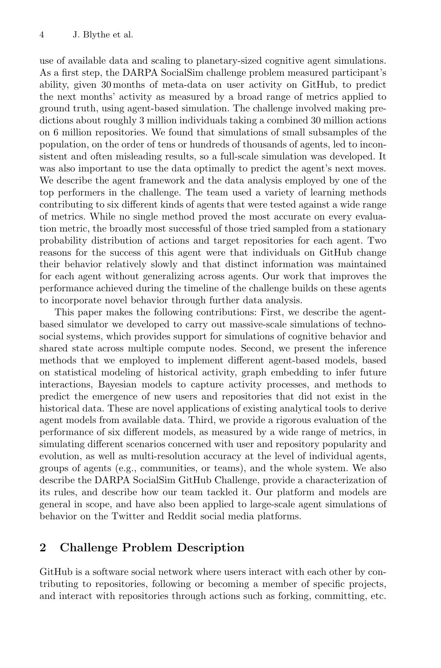use of available data and scaling to planetary-sized cognitive agent simulations. As a first step, the DARPA SocialSim challenge problem measured participant's ability, given 30 months of meta-data on user activity on GitHub, to predict the next months' activity as measured by a broad range of metrics applied to ground truth, using agent-based simulation. The challenge involved making predictions about roughly 3 million individuals taking a combined 30 million actions on 6 million repositories. We found that simulations of small subsamples of the population, on the order of tens or hundreds of thousands of agents, led to inconsistent and often misleading results, so a full-scale simulation was developed. It was also important to use the data optimally to predict the agent's next moves. We describe the agent framework and the data analysis employed by one of the top performers in the challenge. The team used a variety of learning methods contributing to six different kinds of agents that were tested against a wide range of metrics. While no single method proved the most accurate on every evaluation metric, the broadly most successful of those tried sampled from a stationary probability distribution of actions and target repositories for each agent. Two reasons for the success of this agent were that individuals on GitHub change their behavior relatively slowly and that distinct information was maintained for each agent without generalizing across agents. Our work that improves the performance achieved during the timeline of the challenge builds on these agents to incorporate novel behavior through further data analysis.

This paper makes the following contributions: First, we describe the agentbased simulator we developed to carry out massive-scale simulations of technosocial systems, which provides support for simulations of cognitive behavior and shared state across multiple compute nodes. Second, we present the inference methods that we employed to implement different agent-based models, based on statistical modeling of historical activity, graph embedding to infer future interactions, Bayesian models to capture activity processes, and methods to predict the emergence of new users and repositories that did not exist in the historical data. These are novel applications of existing analytical tools to derive agent models from available data. Third, we provide a rigorous evaluation of the performance of six different models, as measured by a wide range of metrics, in simulating different scenarios concerned with user and repository popularity and evolution, as well as multi-resolution accuracy at the level of individual agents, groups of agents (e.g., communities, or teams), and the whole system. We also describe the DARPA SocialSim GitHub Challenge, provide a characterization of its rules, and describe how our team tackled it. Our platform and models are general in scope, and have also been applied to large-scale agent simulations of behavior on the Twitter and Reddit social media platforms.

# 2 Challenge Problem Description

GitHub is a software social network where users interact with each other by contributing to repositories, following or becoming a member of specific projects, and interact with repositories through actions such as forking, committing, etc.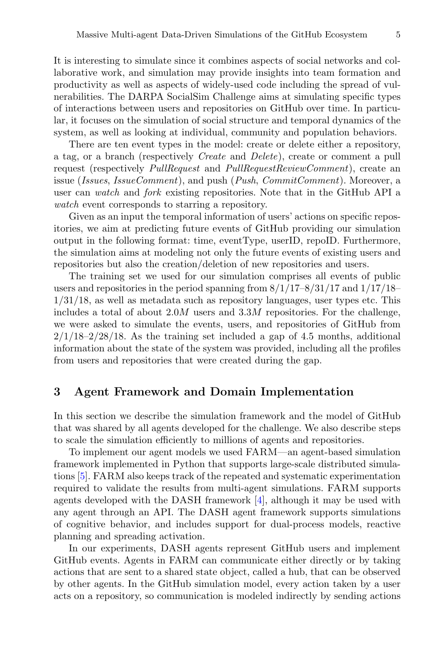It is interesting to simulate since it combines aspects of social networks and collaborative work, and simulation may provide insights into team formation and productivity as well as aspects of widely-used code including the spread of vulnerabilities. The DARPA SocialSim Challenge aims at simulating specific types of interactions between users and repositories on GitHub over time. In particular, it focuses on the simulation of social structure and temporal dynamics of the system, as well as looking at individual, community and population behaviors.

There are ten event types in the model: create or delete either a repository, a tag, or a branch (respectively *Create* and *Delete*), create or comment a pull request (respectively *PullRequest* and *PullRequestReviewComment*), create an issue (*Issues*, *IssueComment*), and push (*Push*, *CommitComment*). Moreover, a user can *watch* and *fork* existing repositories. Note that in the GitHub API a *watch* event corresponds to starring a repository.

Given as an input the temporal information of users' actions on specific repositories, we aim at predicting future events of GitHub providing our simulation output in the following format: time, eventType, userID, repoID. Furthermore, the simulation aims at modeling not only the future events of existing users and repositories but also the creation/deletion of new repositories and users.

The training set we used for our simulation comprises all events of public users and repositories in the period spanning from 8/1/17–8/31/17 and 1/17/18– 1/31/18, as well as metadata such as repository languages, user types etc. This includes a total of about 2*.*0*M* users and 3*.*3*M* repositories. For the challenge, we were asked to simulate the events, users, and repositories of GitHub from 2/1/18–2/28/18. As the training set included a gap of 4*.*5 months, additional information about the state of the system was provided, including all the profiles from users and repositories that were created during the gap.

### 3 Agent Framework and Domain Implementation

In this section we describe the simulation framework and the model of GitHub that was shared by all agents developed for the challenge. We also describe steps to scale the simulation efficiently to millions of agents and repositories.

To implement our agent models we used FARM—an agent-based simulation framework implemented in Python that supports large-scale distributed simulations [\[5\]](#page--1-0). FARM also keeps track of the repeated and systematic experimentation required to validate the results from multi-agent simulations. FARM supports agents developed with the DASH framework [\[4](#page--1-1)], although it may be used with any agent through an API. The DASH agent framework supports simulations of cognitive behavior, and includes support for dual-process models, reactive planning and spreading activation.

In our experiments, DASH agents represent GitHub users and implement GitHub events. Agents in FARM can communicate either directly or by taking actions that are sent to a shared state object, called a hub, that can be observed by other agents. In the GitHub simulation model, every action taken by a user acts on a repository, so communication is modeled indirectly by sending actions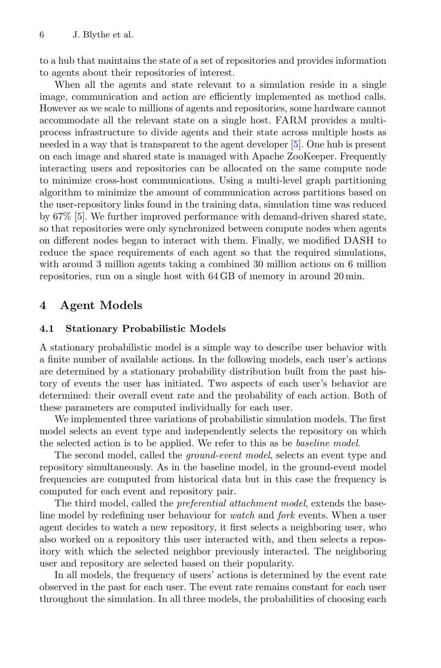to a hub that maintains the state of a set of repositories and provides information to agents about their repositories of interest.

When all the agents and state relevant to a simulation reside in a single image, communication and action are efficiently implemented as method calls. However as we scale to millions of agents and repositories, some hardware cannot accommodate all the relevant state on a single host. FARM provides a multiprocess infrastructure to divide agents and their state across multiple hosts as needed in a way that is transparent to the agent developer [\[5\]](#page--1-0). One hub is present on each image and shared state is managed with Apache ZooKeeper. Frequently interacting users and repositories can be allocated on the same compute node to minimize cross-host communications. Using a multi-level graph partitioning algorithm to minimize the amount of communication across partitions based on the user-repository links found in the training data, simulation time was reduced by 67% [\[5\]](#page--1-0). We further improved performance with demand-driven shared state, so that repositories were only synchronized between compute nodes when agents on different nodes began to interact with them. Finally, we modified DASH to reduce the space requirements of each agent so that the required simulations, with around 3 million agents taking a combined 30 million actions on 6 million repositories, run on a single host with 64 GB of memory in around 20 min.

# 4 Agent Models

#### 4.1 Stationary Probabilistic Models

A stationary probabilistic model is a simple way to describe user behavior with a finite number of available actions. In the following models, each user's actions are determined by a stationary probability distribution built from the past history of events the user has initiated. Two aspects of each user's behavior are determined: their overall event rate and the probability of each action. Both of these parameters are computed individually for each user.

We implemented three variations of probabilistic simulation models. The first model selects an event type and independently selects the repository on which the selected action is to be applied. We refer to this as be *baseline model*.

The second model, called the *ground-event model*, selects an event type and repository simultaneously. As in the baseline model, in the ground-event model frequencies are computed from historical data but in this case the frequency is computed for each event and repository pair.

The third model, called the *preferential attachment model*, extends the baseline model by redefining user behaviour for *watch* and *fork* events. When a user agent decides to watch a new repository, it first selects a neighboring user, who also worked on a repository this user interacted with, and then selects a repository with which the selected neighbor previously interacted. The neighboring user and repository are selected based on their popularity.

In all models, the frequency of users' actions is determined by the event rate observed in the past for each user. The event rate remains constant for each user throughout the simulation. In all three models, the probabilities of choosing each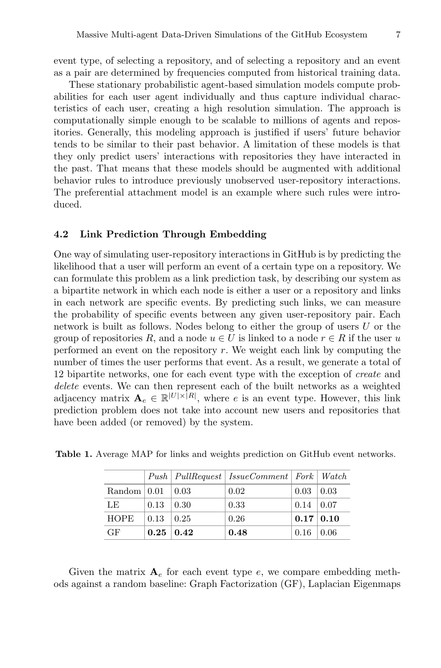event type, of selecting a repository, and of selecting a repository and an event as a pair are determined by frequencies computed from historical training data.

These stationary probabilistic agent-based simulation models compute probabilities for each user agent individually and thus capture individual characteristics of each user, creating a high resolution simulation. The approach is computationally simple enough to be scalable to millions of agents and repositories. Generally, this modeling approach is justified if users' future behavior tends to be similar to their past behavior. A limitation of these models is that they only predict users' interactions with repositories they have interacted in the past. That means that these models should be augmented with additional behavior rules to introduce previously unobserved user-repository interactions. The preferential attachment model is an example where such rules were introduced.

#### 4.2 Link Prediction Through Embedding

One way of simulating user-repository interactions in GitHub is by predicting the likelihood that a user will perform an event of a certain type on a repository. We can formulate this problem as a link prediction task, by describing our system as a bipartite network in which each node is either a user or a repository and links in each network are specific events. By predicting such links, we can measure the probability of specific events between any given user-repository pair. Each network is built as follows. Nodes belong to either the group of users *U* or the group of repositories *R*, and a node  $u \in U$  is linked to a node  $r \in R$  if the user *u* performed an event on the repository *r*. We weight each link by computing the number of times the user performs that event. As a result, we generate a total of 12 bipartite networks, one for each event type with the exception of *create* and *delete* events. We can then represent each of the built networks as a weighted adjacency matrix  $A_e \in \mathbb{R}^{|U| \times |R|}$ , where *e* is an event type. However, this link prediction problem does not take into account new users and repositories that have been added (or removed) by the system.

|                           |                     |            | Push   PullRequest   IssueComment   Fork   Watch |                   |      |
|---------------------------|---------------------|------------|--------------------------------------------------|-------------------|------|
| Random $\vert 0.01 \vert$ |                     | $\pm 0.03$ | 0.02                                             | $0.03 \pm 0.03$   |      |
| LE                        | $0.13 \pm 0.30$     |            | 0.33                                             | $0.14 \pm 0.07$   |      |
| <b>HOPE</b>               | $0.13 \pm 0.25$     |            | 0.26                                             | $0.17 \, \, 0.10$ |      |
| GF.                       | $0.25 \,   \, 0.42$ |            | 0.48                                             | 0.16              | 0.06 |

Table 1. Average MAP for links and weights prediction on GitHub event networks.

Given the matrix  $A_e$  for each event type  $e$ , we compare embedding methods against a random baseline: Graph Factorization (GF), Laplacian Eigenmaps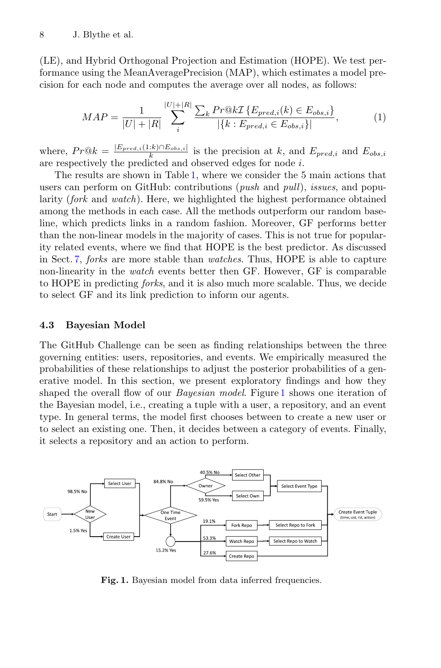(LE), and Hybrid Orthogonal Projection and Estimation (HOPE). We test performance using the MeanAveragePrecision (MAP), which estimates a model precision for each node and computes the average over all nodes, as follows:

$$
MAP = \frac{1}{|U| + |R|} \sum_{i}^{|U| + |R|} \frac{\sum_{k} Pr@k\mathcal{I} \{E_{pred,i}(k) \in E_{obs,i}\}}{|\{k : E_{pred,i} \in E_{obs,i}\}|},
$$
(1)

where,  $Pr@k = \frac{|E_{pred,i}(1:k) \cap E_{obs,i}|}{k}$  is the precision at *k*, and  $E_{pred,i}$  and  $E_{obs,i}$ are respectively the predicted and observed edges for node *i*.

The results are shown in Table [1,](#page--1-2) where we consider the 5 main actions that users can perform on GitHub: contributions (*push* and *pull*), *issues*, and popularity (*fork* and *watch*). Here, we highlighted the highest performance obtained among the methods in each case. All the methods outperform our random baseline, which predicts links in a random fashion. Moreover, GF performs better than the non-linear models in the majority of cases. This is not true for popularity related events, where we find that HOPE is the best predictor. As discussed in Sect. [7,](#page--1-3) *forks* are more stable than *watches*. Thus, HOPE is able to capture non-linearity in the *watch* events better then GF. However, GF is comparable to HOPE in predicting *forks*, and it is also much more scalable. Thus, we decide to select GF and its link prediction to inform our agents.

#### 4.3 Bayesian Model

The GitHub Challenge can be seen as finding relationships between the three governing entities: users, repositories, and events. We empirically measured the probabilities of these relationships to adjust the posterior probabilities of a generative model. In this section, we present exploratory findings and how they shaped the overall flow of our *Bayesian model*. Figure [1](#page--1-4) shows one iteration of the Bayesian model, i.e., creating a tuple with a user, a repository, and an event type. In general terms, the model first chooses between to create a new user or to select an existing one. Then, it decides between a category of events. Finally, it selects a repository and an action to perform.



Fig. 1. Bayesian model from data inferred frequencies.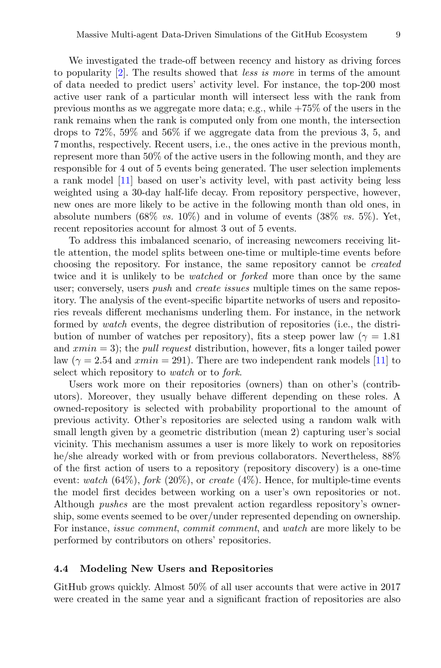We investigated the trade-off between recency and history as driving forces to popularity [\[2\]](#page--1-5). The results showed that *less is more* in terms of the amount of data needed to predict users' activity level. For instance, the top-200 most active user rank of a particular month will intersect less with the rank from previous months as we aggregate more data; e.g., while +75% of the users in the rank remains when the rank is computed only from one month, the intersection drops to 72%, 59% and 56% if we aggregate data from the previous 3, 5, and 7 months, respectively. Recent users, i.e., the ones active in the previous month, represent more than 50% of the active users in the following month, and they are responsible for 4 out of 5 events being generated. The user selection implements a rank model [\[11](#page--1-6)] based on user's activity level, with past activity being less weighted using a 30-day half-life decay. From repository perspective, however, new ones are more likely to be active in the following month than old ones, in absolute numbers (68% *vs.* 10%) and in volume of events (38% *vs.* 5%). Yet, recent repositories account for almost 3 out of 5 events.

To address this imbalanced scenario, of increasing newcomers receiving little attention, the model splits between one-time or multiple-time events before choosing the repository. For instance, the same repository cannot be *created* twice and it is unlikely to be *watched* or *forked* more than once by the same user; conversely, users *push* and *create issues* multiple times on the same repository. The analysis of the event-specific bipartite networks of users and repositories reveals different mechanisms underling them. For instance, in the network formed by *watch* events, the degree distribution of repositories (i.e., the distribution of number of watches per repository), fits a steep power law ( $\gamma = 1.81$ ) and *xmin* = 3); the *pull request* distribution, however, fits a longer tailed power law ( $\gamma = 2.54$  and  $xmin = 291$ ). There are two independent rank models [\[11\]](#page--1-6) to select which repository to *watch* or to *fork*.

Users work more on their repositories (owners) than on other's (contributors). Moreover, they usually behave different depending on these roles. A owned-repository is selected with probability proportional to the amount of previous activity. Other's repositories are selected using a random walk with small length given by a geometric distribution (mean 2) capturing user's social vicinity. This mechanism assumes a user is more likely to work on repositories he/she already worked with or from previous collaborators. Nevertheless,  $88\%$ of the first action of users to a repository (repository discovery) is a one-time event: *watch* (64%), *fork* (20%), or *create* (4%). Hence, for multiple-time events the model first decides between working on a user's own repositories or not. Although *pushes* are the most prevalent action regardless repository's ownership, some events seemed to be over/under represented depending on ownership. For instance, *issue comment*, *commit comment*, and *watch* are more likely to be performed by contributors on others' repositories.

#### 4.4 Modeling New Users and Repositories

GitHub grows quickly. Almost 50% of all user accounts that were active in 2017 were created in the same year and a significant fraction of repositories are also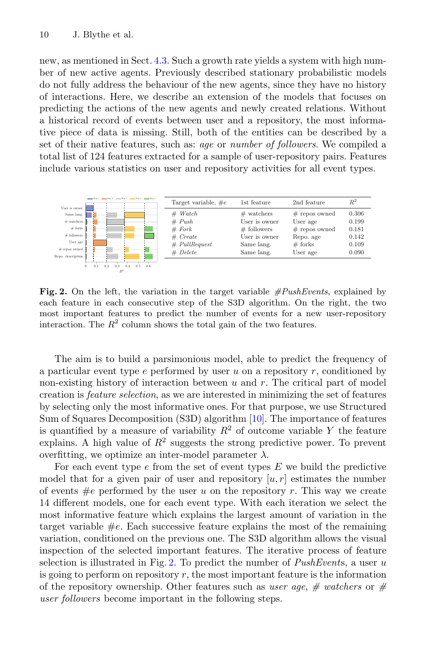*R*2

new, as mentioned in Sect. [4.3.](#page--1-7) Such a growth rate yields a system with high number of new active agents. Previously described stationary probabilistic models do not fully address the behaviour of the new agents, since they have no history of interactions. Here, we describe an extension of the models that focuses on predicting the actions of the new agents and newly created relations. Without a historical record of events between user and a repository, the most informative piece of data is missing. Still, both of the entities can be described by a set of their native features, such as: *age* or *number of followers*. We compiled a total list of 124 features extracted for a sample of user-repository pairs. Features include various statistics on user and repository activities for all event types.



Fig. 2. On the left, the variation in the target variable *#PushEvents*, explained by each feature in each consecutive step of the S3D algorithm. On the right, the two most important features to predict the number of events for a new user-repository interaction. The  $R^2$  column shows the total gain of the two features.

The aim is to build a parsimonious model, able to predict the frequency of a particular event type *e* performed by user *u* on a repository *r*, conditioned by non-existing history of interaction between *u* and *r*. The critical part of model creation is *feature selection*, as we are interested in minimizing the set of features by selecting only the most informative ones. For that purpose, we use Structured Sum of Squares Decomposition (S3D) algorithm [\[10](#page--1-8)]. The importance of features is quantified by a measure of variability  $R^2$  of outcome variable Y the feature explains. A high value of  $R^2$  suggests the strong predictive power. To prevent overfitting, we optimize an inter-model parameter  $\lambda$ .

For each event type *e* from the set of event types *E* we build the predictive model that for a given pair of user and repository  $[u, r]$  estimates the number of events #*e* performed by the user *u* on the repository *r*. This way we create 14 different models, one for each event type. With each iteration we select the most informative feature which explains the largest amount of variation in the target variable #*e*. Each successive feature explains the most of the remaining variation, conditioned on the previous one. The S3D algorithm allows the visual inspection of the selected important features. The iterative process of feature selection is illustrated in Fig. [2.](#page--1-9) To predict the number of *PushEvent*s, a user *u* is going to perform on repository *r*, the most important feature is the information of the repository ownership. Other features such as *user age*, *# watchers* or *# user followers* become important in the following steps.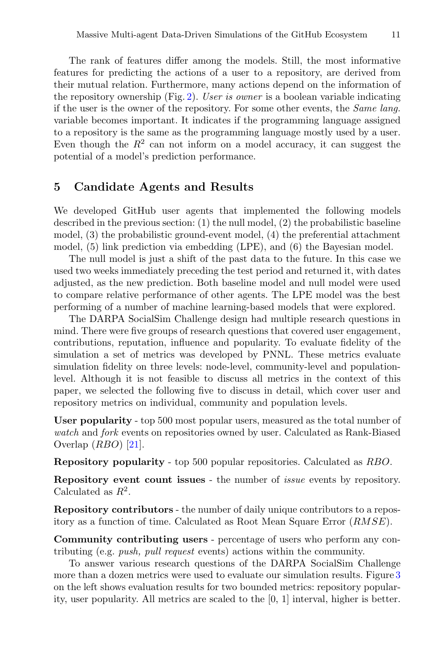The rank of features differ among the models. Still, the most informative features for predicting the actions of a user to a repository, are derived from their mutual relation. Furthermore, many actions depend on the information of the repository ownership (Fig. [2\)](#page--1-9). *User is owner* is a boolean variable indicating if the user is the owner of the repository. For some other events, the *Same lang.* variable becomes important. It indicates if the programming language assigned to a repository is the same as the programming language mostly used by a user. Even though the  $R^2$  can not inform on a model accuracy, it can suggest the potential of a model's prediction performance.

## 5 Candidate Agents and Results

We developed GitHub user agents that implemented the following models described in the previous section: (1) the null model, (2) the probabilistic baseline model, (3) the probabilistic ground-event model, (4) the preferential attachment model, (5) link prediction via embedding (LPE), and (6) the Bayesian model.

The null model is just a shift of the past data to the future. In this case we used two weeks immediately preceding the test period and returned it, with dates adjusted, as the new prediction. Both baseline model and null model were used to compare relative performance of other agents. The LPE model was the best performing of a number of machine learning-based models that were explored.

The DARPA SocialSim Challenge design had multiple research questions in mind. There were five groups of research questions that covered user engagement, contributions, reputation, influence and popularity. To evaluate fidelity of the simulation a set of metrics was developed by PNNL. These metrics evaluate simulation fidelity on three levels: node-level, community-level and populationlevel. Although it is not feasible to discuss all metrics in the context of this paper, we selected the following five to discuss in detail, which cover user and repository metrics on individual, community and population levels.

User popularity - top 500 most popular users, measured as the total number of *watch* and *fork* events on repositories owned by user. Calculated as Rank-Biased Overlap (*RBO*) [\[21\]](#page--1-10).

Repository popularity - top 500 popular repositories. Calculated as *RBO*.

Repository event count issues - the number of *issue* events by repository. Calculated as *R*<sup>2</sup>.

Repository contributors - the number of daily unique contributors to a repository as a function of time. Calculated as Root Mean Square Error (*RMSE*).

Community contributing users - percentage of users who perform any contributing (e.g. *push, pull request* events) actions within the community.

To answer various research questions of the DARPA SocialSim Challenge more than a dozen metrics were used to evaluate our simulation results. Figure [3](#page--1-11) on the left shows evaluation results for two bounded metrics: repository popularity, user popularity. All metrics are scaled to the [0, 1] interval, higher is better.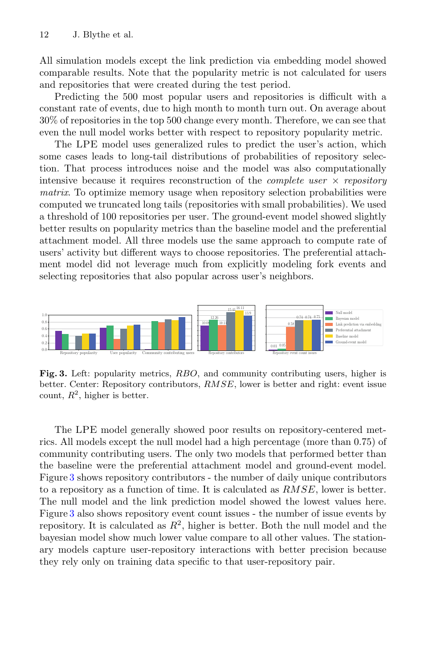All simulation models except the link prediction via embedding model showed comparable results. Note that the popularity metric is not calculated for users and repositories that were created during the test period.

Predicting the 500 most popular users and repositories is difficult with a constant rate of events, due to high month to month turn out. On average about 30% of repositories in the top 500 change every month. Therefore, we can see that even the null model works better with respect to repository popularity metric.

The LPE model uses generalized rules to predict the user's action, which some cases leads to long-tail distributions of probabilities of repository selection. That process introduces noise and the model was also computationally intensive because it requires reconstruction of the *complete user* × *repository matrix*. To optimize memory usage when repository selection probabilities were computed we truncated long tails (repositories with small probabilities). We used a threshold of 100 repositories per user. The ground-event model showed slightly better results on popularity metrics than the baseline model and the preferential attachment model. All three models use the same approach to compute rate of users' activity but different ways to choose repositories. The preferential attachment model did not leverage much from explicitly modeling fork events and selecting repositories that also popular across user's neighbors.



Fig. 3. Left: popularity metrics, *RBO*, and community contributing users, higher is better. Center: Repository contributors, *RMSE*, lower is better and right: event issue count,  $R^2$ , higher is better.

The LPE model generally showed poor results on repository-centered metrics. All models except the null model had a high percentage (more than 0.75) of community contributing users. The only two models that performed better than the baseline were the preferential attachment model and ground-event model. Figure [3](#page--1-11) shows repository contributors - the number of daily unique contributors to a repository as a function of time. It is calculated as *RMSE*, lower is better. The null model and the link prediction model showed the lowest values here. Figure [3](#page--1-11) also shows repository event count issues - the number of issue events by repository. It is calculated as  $R^2$ , higher is better. Both the null model and the bayesian model show much lower value compare to all other values. The stationary models capture user-repository interactions with better precision because they rely only on training data specific to that user-repository pair.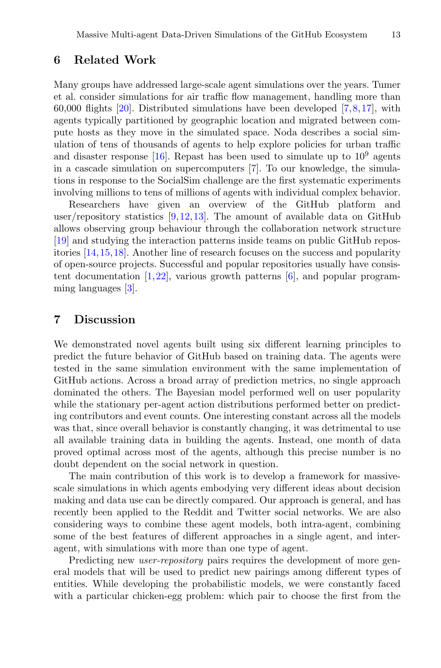## 6 Related Work

Many groups have addressed large-scale agent simulations over the years. Tumer et al. consider simulations for air traffic flow management, handling more than 60,000 flights [\[20](#page--1-12)]. Distributed simulations have been developed [\[7,](#page--1-13)[8](#page--1-14)[,17](#page--1-15)], with agents typically partitioned by geographic location and migrated between compute hosts as they move in the simulated space. Noda describes a social simulation of tens of thousands of agents to help explore policies for urban traffic and disaster response [\[16](#page--1-16)]. Repast has been used to simulate up to  $10^9$  agents in a cascade simulation on supercomputers [\[7](#page--1-13)]. To our knowledge, the simulations in response to the SocialSim challenge are the first systematic experiments involving millions to tens of millions of agents with individual complex behavior.

Researchers have given an overview of the GitHub platform and user/repository statistics [\[9,](#page--1-17)[12](#page--1-18)[,13\]](#page--1-19). The amount of available data on GitHub allows observing group behaviour through the collaboration network structure [\[19](#page--1-20)] and studying the interaction patterns inside teams on public GitHub repositories [\[14,](#page--1-21)[15,](#page--1-22)[18](#page--1-23)]. Another line of research focuses on the success and popularity of open-source projects. Successful and popular repositories usually have consistent documentation  $[1,22]$  $[1,22]$  $[1,22]$ , various growth patterns  $[6]$  $[6]$ , and popular programming languages [\[3\]](#page--1-27).

## 7 Discussion

We demonstrated novel agents built using six different learning principles to predict the future behavior of GitHub based on training data. The agents were tested in the same simulation environment with the same implementation of GitHub actions. Across a broad array of prediction metrics, no single approach dominated the others. The Bayesian model performed well on user popularity while the stationary per-agent action distributions performed better on predicting contributors and event counts. One interesting constant across all the models was that, since overall behavior is constantly changing, it was detrimental to use all available training data in building the agents. Instead, one month of data proved optimal across most of the agents, although this precise number is no doubt dependent on the social network in question.

The main contribution of this work is to develop a framework for massivescale simulations in which agents embodying very different ideas about decision making and data use can be directly compared. Our approach is general, and has recently been applied to the Reddit and Twitter social networks. We are also considering ways to combine these agent models, both intra-agent, combining some of the best features of different approaches in a single agent, and interagent, with simulations with more than one type of agent.

Predicting new *user-repository* pairs requires the development of more general models that will be used to predict new pairings among different types of entities. While developing the probabilistic models, we were constantly faced with a particular chicken-egg problem: which pair to choose the first from the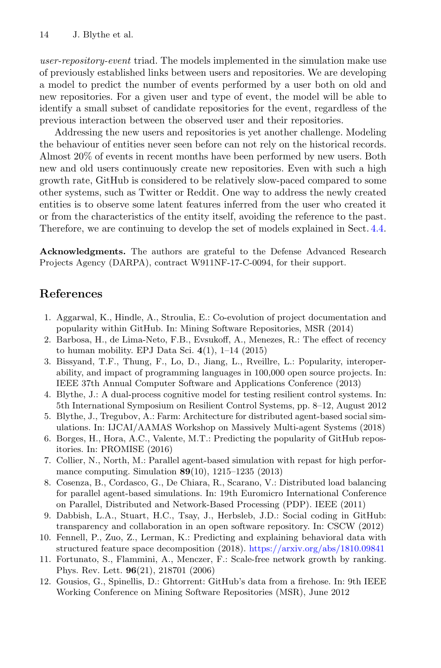*user-repository-event* triad. The models implemented in the simulation make use of previously established links between users and repositories. We are developing a model to predict the number of events performed by a user both on old and new repositories. For a given user and type of event, the model will be able to identify a small subset of candidate repositories for the event, regardless of the previous interaction between the observed user and their repositories.

Addressing the new users and repositories is yet another challenge. Modeling the behaviour of entities never seen before can not rely on the historical records. Almost 20% of events in recent months have been performed by new users. Both new and old users continuously create new repositories. Even with such a high growth rate, GitHub is considered to be relatively slow-paced compared to some other systems, such as Twitter or Reddit. One way to address the newly created entities is to observe some latent features inferred from the user who created it or from the characteristics of the entity itself, avoiding the reference to the past. Therefore, we are continuing to develop the set of models explained in Sect. [4.4.](#page--1-28)

Acknowledgments. The authors are grateful to the Defense Advanced Research Projects Agency (DARPA), contract W911NF-17-C-0094, for their support.

# References

- 1. Aggarwal, K., Hindle, A., Stroulia, E.: Co-evolution of project documentation and popularity within GitHub. In: Mining Software Repositories, MSR (2014)
- 2. Barbosa, H., de Lima-Neto, F.B., Evsukoff, A., Menezes, R.: The effect of recency to human mobility. EPJ Data Sci.  $4(1)$ , 1–14 (2015)
- 3. Bissyand, T.F., Thung, F., Lo, D., Jiang, L., Rveillre, L.: Popularity, interoperability, and impact of programming languages in 100,000 open source projects. In: IEEE 37th Annual Computer Software and Applications Conference (2013)
- 4. Blythe, J.: A dual-process cognitive model for testing resilient control systems. In: 5th International Symposium on Resilient Control Systems, pp. 8–12, August 2012
- 5. Blythe, J., Tregubov, A.: Farm: Architecture for distributed agent-based social simulations. In: IJCAI/AAMAS Workshop on Massively Multi-agent Systems (2018)
- 6. Borges, H., Hora, A.C., Valente, M.T.: Predicting the popularity of GitHub repositories. In: PROMISE (2016)
- 7. Collier, N., North, M.: Parallel agent-based simulation with repast for high performance computing. Simulation  $89(10)$ , 1215–1235 (2013)
- 8. Cosenza, B., Cordasco, G., De Chiara, R., Scarano, V.: Distributed load balancing for parallel agent-based simulations. In: 19th Euromicro International Conference on Parallel, Distributed and Network-Based Processing (PDP). IEEE (2011)
- 9. Dabbish, L.A., Stuart, H.C., Tsay, J., Herbsleb, J.D.: Social coding in GitHub: transparency and collaboration in an open software repository. In: CSCW (2012)
- 10. Fennell, P., Zuo, Z., Lerman, K.: Predicting and explaining behavioral data with structured feature space decomposition (2018). <https://arxiv.org/abs/1810.09841>
- 11. Fortunato, S., Flammini, A., Menczer, F.: Scale-free network growth by ranking. Phys. Rev. Lett. 96(21), 218701 (2006)
- 12. Gousios, G., Spinellis, D.: Ghtorrent: GitHub's data from a firehose. In: 9th IEEE Working Conference on Mining Software Repositories (MSR), June 2012